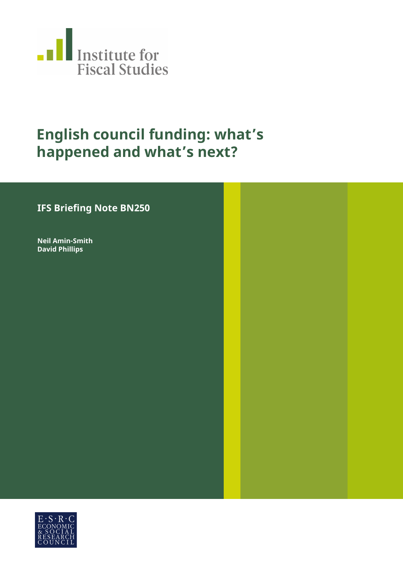

# **English council funding: what's happened and what's next?**

# **IFS Briefing Note BN250**

**Neil Amin-Smith David Phillips**

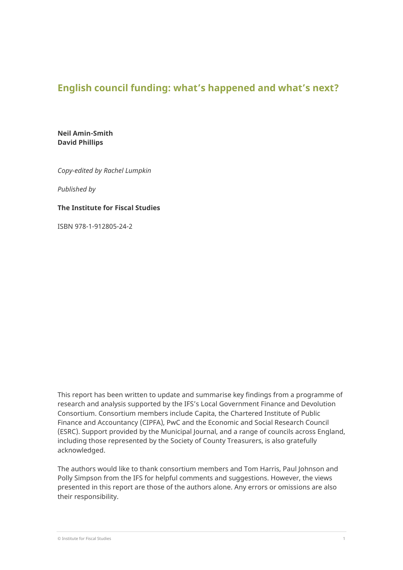# **English council funding: what's happened and what's next?**

**Neil Amin-Smith David Phillips**

*Copy-edited by Rachel Lumpkin*

*Published by*

#### **The Institute for Fiscal Studies**

ISBN 978-1-912805-24-2

This report has been written to update and summarise key findings from a programme of research and analysis supported by the IFS's Local Government Finance and Devolution Consortium. Consortium members include Capita, the Chartered Institute of Public Finance and Accountancy (CIPFA), PwC and the Economic and Social Research Council (ESRC). Support provided by the Municipal Journal, and a range of councils across England, including those represented by the Society of County Treasurers, is also gratefully acknowledged.

The authors would like to thank consortium members and Tom Harris, Paul Johnson and Polly Simpson from the IFS for helpful comments and suggestions. However, the views presented in this report are those of the authors alone. Any errors or omissions are also their responsibility.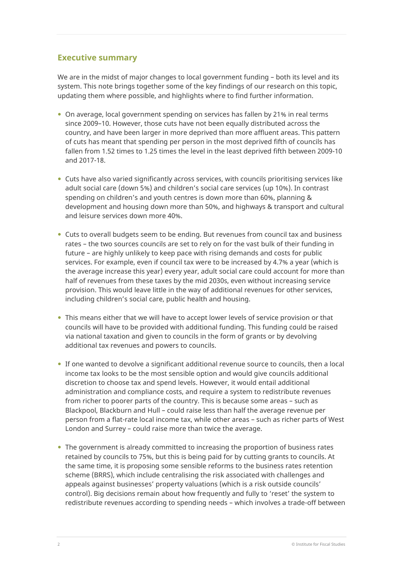# **Executive summary**

We are in the midst of major changes to local government funding – both its level and its system. This note brings together some of the key findings of our research on this topic, updating them where possible, and highlights where to find further information.

- On average, local government spending on services has fallen by 21% in real terms since 2009–10. However, those cuts have not been equally distributed across the country, and have been larger in more deprived than more affluent areas. This pattern of cuts has meant that spending per person in the most deprived fifth of councils has fallen from 1.52 times to 1.25 times the level in the least deprived fifth between 2009-10 and 2017-18.
- Cuts have also varied significantly across services, with councils prioritising services like adult social care (down 5%) and children's social care services (up 10%). In contrast spending on children's and youth centres is down more than 60%, planning & development and housing down more than 50%, and highways & transport and cultural and leisure services down more 40%.
- Cuts to overall budgets seem to be ending. But revenues from council tax and business rates – the two sources councils are set to rely on for the vast bulk of their funding in future – are highly unlikely to keep pace with rising demands and costs for public services. For example, even if council tax were to be increased by 4.7% a year (which is the average increase this year) every year, adult social care could account for more than half of revenues from these taxes by the mid 2030s, even without increasing service provision. This would leave little in the way of additional revenues for other services, including children's social care, public health and housing.
- This means either that we will have to accept lower levels of service provision or that councils will have to be provided with additional funding. This funding could be raised via national taxation and given to councils in the form of grants or by devolving additional tax revenues and powers to councils.
- If one wanted to devolve a significant additional revenue source to councils, then a local income tax looks to be the most sensible option and would give councils additional discretion to choose tax and spend levels. However, it would entail additional administration and compliance costs, and require a system to redistribute revenues from richer to poorer parts of the country. This is because some areas – such as Blackpool, Blackburn and Hull – could raise less than half the average revenue per person from a flat-rate local income tax, while other areas – such as richer parts of West London and Surrey – could raise more than twice the average.
- The government is already committed to increasing the proportion of business rates retained by councils to 75%, but this is being paid for by cutting grants to councils. At the same time, it is proposing some sensible reforms to the business rates retention scheme (BRRS), which include centralising the risk associated with challenges and appeals against businesses' property valuations (which is a risk outside councils' control). Big decisions remain about how frequently and fully to 'reset' the system to redistribute revenues according to spending needs – which involves a trade-off between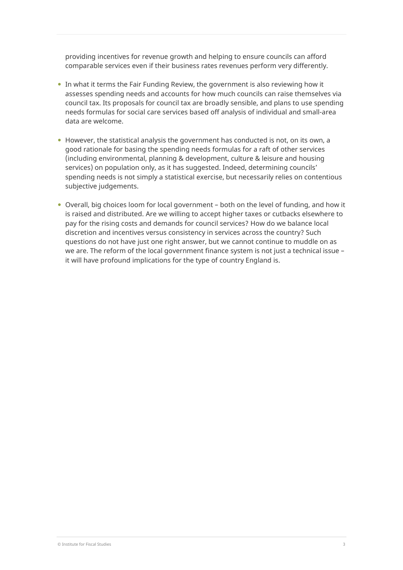providing incentives for revenue growth and helping to ensure councils can afford comparable services even if their business rates revenues perform very differently.

- In what it terms the Fair Funding Review, the government is also reviewing how it assesses spending needs and accounts for how much councils can raise themselves via council tax. Its proposals for council tax are broadly sensible, and plans to use spending needs formulas for social care services based off analysis of individual and small-area data are welcome.
- $\bullet$  However, the statistical analysis the government has conducted is not, on its own, a good rationale for basing the spending needs formulas for a raft of other services (including environmental, planning & development, culture & leisure and housing services) on population only, as it has suggested. Indeed, determining councils' spending needs is not simply a statistical exercise, but necessarily relies on contentious subjective judgements.
- Overall, big choices loom for local government both on the level of funding, and how it is raised and distributed. Are we willing to accept higher taxes or cutbacks elsewhere to pay for the rising costs and demands for council services? How do we balance local discretion and incentives versus consistency in services across the country? Such questions do not have just one right answer, but we cannot continue to muddle on as we are. The reform of the local government finance system is not just a technical issue – it will have profound implications for the type of country England is.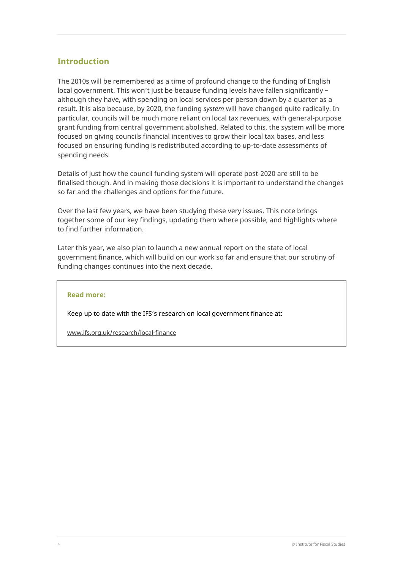# **Introduction**

The 2010s will be remembered as a time of profound change to the funding of English local government. This won't just be because funding levels have fallen significantly – although they have, with spending on local services per person down by a quarter as a result. It is also because, by 2020, the funding *system* will have changed quite radically. In particular, councils will be much more reliant on local tax revenues, with general-purpose grant funding from central government abolished. Related to this, the system will be more focused on giving councils financial incentives to grow their local tax bases, and less focused on ensuring funding is redistributed according to up-to-date assessments of spending needs.

Details of just how the council funding system will operate post-2020 are still to be finalised though. And in making those decisions it is important to understand the changes so far and the challenges and options for the future.

Over the last few years, we have been studying these very issues. This note brings together some of our key findings, updating them where possible, and highlights where to find further information.

Later this year, we also plan to launch a new annual report on the state of local government finance, which will build on our work so far and ensure that our scrutiny of funding changes continues into the next decade.

#### **Read more:**

Keep up to date with the IFS's research on local government finance at:

[www.ifs.org.uk/research/local-finance](http://www.ifs.org.uk/research/local-finance)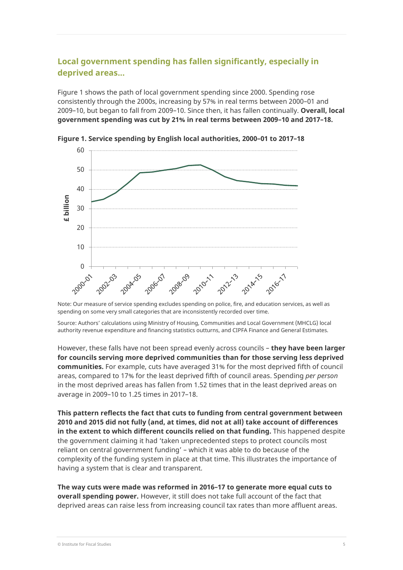# **Local government spending has fallen significantly, especially in deprived areas...**

Figure 1 shows the path of local government spending since 2000. Spending rose consistently through the 2000s, increasing by 57% in real terms between 2000–01 and 2009–10, but began to fall from 2009–10. Since then, it has fallen continually. **Overall, local government spending was cut by 21% in real terms between 2009–10 and 2017–18.**



**Figure 1. Service spending by English local authorities, 2000–01 to 2017–18**

Note: Our measure of service spending excludes spending on police, fire, and education services, as well as spending on some very small categories that are inconsistently recorded over time.

Source: Authors' calculations using Ministry of Housing, Communities and Local Government (MHCLG) local authority revenue expenditure and financing statistics outturns, and CIPFA Finance and General Estimates.

However, these falls have not been spread evenly across councils – **they have been larger for councils serving more deprived communities than for those serving less deprived communities.** For example, cuts have averaged 31% for the most deprived fifth of council areas, compared to 17% for the least deprived fifth of council areas. Spending *per person* in the most deprived areas has fallen from 1.52 times that in the least deprived areas on average in 2009–10 to 1.25 times in 2017–18.

**This pattern reflects the fact that cuts to funding from central government between 2010 and 2015 did not fully (and, at times, did not at all) take account of differences in the extent to which different councils relied on that funding.** This happened despite the government claiming it had 'taken unprecedented steps to protect councils most reliant on central government funding' – which it was able to do because of the complexity of the funding system in place at that time. This illustrates the importance of having a system that is clear and transparent.

**The way cuts were made was reformed in 2016–17 to generate more equal cuts to overall spending power.** However, it still does not take full account of the fact that deprived areas can raise less from increasing council tax rates than more affluent areas.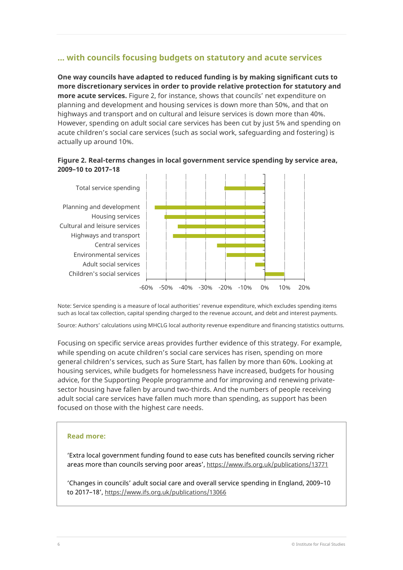## **... with councils focusing budgets on statutory and acute services**

**One way councils have adapted to reduced funding is by making significant cuts to more discretionary services in order to provide relative protection for statutory and more acute services.** Figure 2, for instance, shows that councils' net expenditure on planning and development and housing services is down more than 50%, and that on highways and transport and on cultural and leisure services is down more than 40%. However, spending on adult social care services has been cut by just 5% and spending on acute children's social care services (such as social work, safeguarding and fostering) is actually up around 10%.

#### **Figure 2. Real-terms changes in local government service spending by service area, 2009–10 to 2017–18**



Note: Service spending is a measure of local authorities' revenue expenditure, which excludes spending items such as local tax collection, capital spending charged to the revenue account, and debt and interest payments.

Source: Authors' calculations using MHCLG local authority revenue expenditure and financing statistics outturns.

Focusing on specific service areas provides further evidence of this strategy. For example, while spending on acute children's social care services has risen, spending on more general children's services, such as Sure Start, has fallen by more than 60%. Looking at housing services, while budgets for homelessness have increased, budgets for housing advice, for the Supporting People programme and for improving and renewing privatesector housing have fallen by around two-thirds. And the numbers of people receiving adult social care services have fallen much more than spending, as support has been focused on those with the highest care needs.

#### **Read more:**

'Extra local government funding found to ease cuts has benefited councils serving richer areas more than councils serving poor areas'[, https://www.ifs.org.uk/publications/13771](https://www.ifs.org.uk/publications/13771)

'Changes in councils' adult social care and overall service spending in England, 2009–10 to 2017–18',<https://www.ifs.org.uk/publications/13066>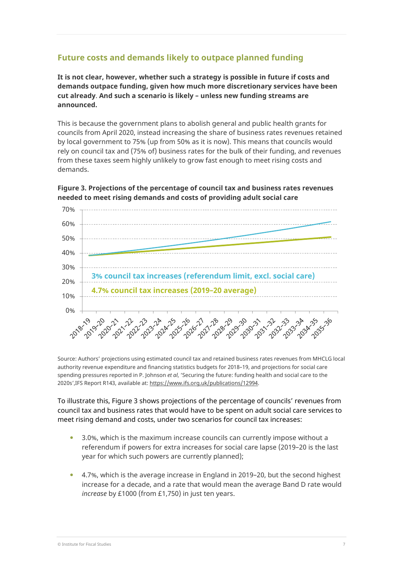# **Future costs and demands likely to outpace planned funding**

**It is not clear, however, whether such a strategy is possible in future if costs and demands outpace funding, given how much more discretionary services have been cut already**. **And such a scenario is likely – unless new funding streams are announced.**

This is because the government plans to abolish general and public health grants for councils from April 2020, instead increasing the share of business rates revenues retained by local government to 75% (up from 50% as it is now). This means that councils would rely on council tax and (75% of) business rates for the bulk of their funding, and revenues from these taxes seem highly unlikely to grow fast enough to meet rising costs and demands.



**Figure 3. Projections of the percentage of council tax and business rates revenues needed to meet rising demands and costs of providing adult social care**

Source: Authors' projections using estimated council tax and retained business rates revenues from MHCLG local authority revenue expenditure and financing statistics budgets for 2018–19, and projections for social care spending pressures reported in P. Johnson *et al*, 'Securing the future: funding health and social care to the 2020s',IFS Report R143, available at[: https://www.ifs.org.uk/publications/12994.](https://www.ifs.org.uk/publications/12994)

To illustrate this, Figure 3 shows projections of the percentage of councils' revenues from council tax and business rates that would have to be spent on adult social care services to meet rising demand and costs, under two scenarios for council tax increases:

- 3.0%, which is the maximum increase councils can currently impose without a referendum if powers for extra increases for social care lapse (2019–20 is the last year for which such powers are currently planned);
- 4.7%, which is the average increase in England in 2019–20, but the second highest increase for a decade, and a rate that would mean the average Band D rate would *increase* by £1000 (from £1,750) in just ten years.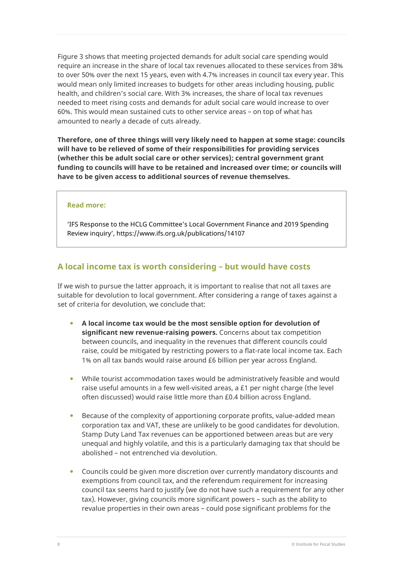Figure 3 shows that meeting projected demands for adult social care spending would require an increase in the share of local tax revenues allocated to these services from 38% to over 50% over the next 15 years, even with 4.7% increases in council tax every year. This would mean only limited increases to budgets for other areas including housing, public health, and children's social care. With 3% increases, the share of local tax revenues needed to meet rising costs and demands for adult social care would increase to over 60%. This would mean sustained cuts to other service areas – on top of what has amounted to nearly a decade of cuts already.

**Therefore, one of three things will very likely need to happen at some stage: councils will have to be relieved of some of their responsibilities for providing services (whether this be adult social care or other services); central government grant funding to councils will have to be retained and increased over time; or councils will have to be given access to additional sources of revenue themselves.**

#### **Read more:**

'IFS Response to the HCLG Committee's Local Government Finance and 2019 Spending Review inquiry', https://www.ifs.org.uk/publications/14107

### **A local income tax is worth considering – but would have costs**

If we wish to pursue the latter approach, it is important to realise that not all taxes are suitable for devolution to local government. After considering a range of taxes against a set of criteria for devolution, we conclude that:

- **A local income tax would be the most sensible option for devolution of significant new revenue-raising powers.** Concerns about tax competition between councils, and inequality in the revenues that different councils could raise, could be mitigated by restricting powers to a flat-rate local income tax. Each 1% on all tax bands would raise around £6 billion per year across England.
- While tourist accommodation taxes would be administratively feasible and would raise useful amounts in a few well-visited areas, a £1 per night charge (the level often discussed) would raise little more than £0.4 billion across England.
- Because of the complexity of apportioning corporate profits, value-added mean corporation tax and VAT, these are unlikely to be good candidates for devolution. Stamp Duty Land Tax revenues can be apportioned between areas but are very unequal and highly volatile, and this is a particularly damaging tax that should be abolished – not entrenched via devolution.
- Councils could be given more discretion over currently mandatory discounts and exemptions from council tax, and the referendum requirement for increasing council tax seems hard to justify (we do not have such a requirement for any other tax). However, giving councils more significant powers – such as the ability to revalue properties in their own areas – could pose significant problems for the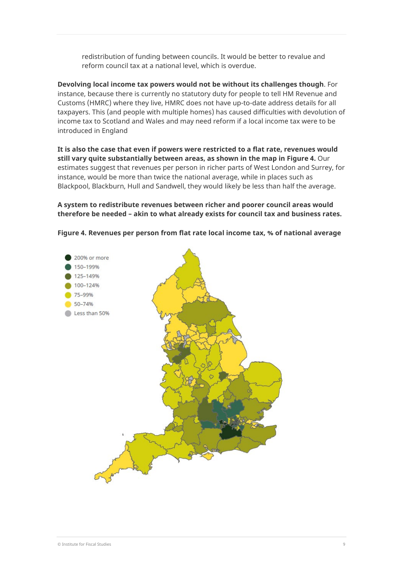redistribution of funding between councils. It would be better to revalue and reform council tax at a national level, which is overdue.

**Devolving local income tax powers would not be without its challenges though**. For instance, because there is currently no statutory duty for people to tell HM Revenue and Customs (HMRC) where they live, HMRC does not have up-to-date address details for all taxpayers. This (and people with multiple homes) has caused difficulties with devolution of income tax to Scotland and Wales and may need reform if a local income tax were to be introduced in England

**It is also the case that even if powers were restricted to a flat rate, revenues would still vary quite substantially between areas, as shown in the map in Figure 4.** Our estimates suggest that revenues per person in richer parts of West London and Surrey, for instance, would be more than twice the national average, while in places such as Blackpool, Blackburn, Hull and Sandwell, they would likely be less than half the average.

**A system to redistribute revenues between richer and poorer council areas would therefore be needed – akin to what already exists for council tax and business rates.** 



**Figure 4. Revenues per person from flat rate local income tax, % of national average**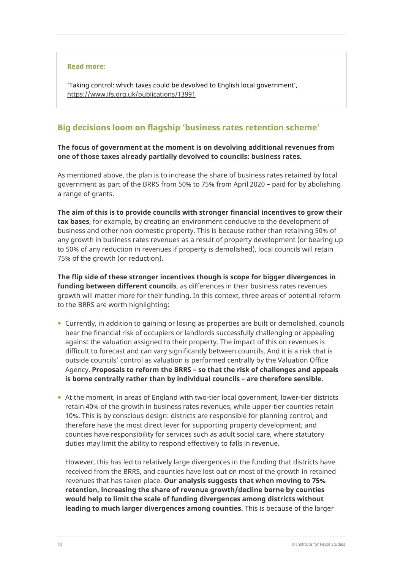#### **Read more:**

'Taking control: which taxes could be devolved to English local government', <https://www.ifs.org.uk/publications/13991>

# **Big decisions loom on flagship 'business rates retention scheme'**

#### **The focus of government at the moment is on devolving additional revenues from one of those taxes already partially devolved to councils: business rates.**

As mentioned above, the plan is to increase the share of business rates retained by local government as part of the BRRS from 50% to 75% from April 2020 – paid for by abolishing a range of grants.

**The aim of this is to provide councils with stronger financial incentives to grow their tax bases**, for example, by creating an environment conducive to the development of business and other non-domestic property. This is because rather than retaining 50% of any growth in business rates revenues as a result of property development (or bearing up to 50% of any reduction in revenues if property is demolished), local councils will retain 75% of the growth (or reduction).

**The flip side of these stronger incentives though is scope for bigger divergences in funding between different councils**, as differences in their business rates revenues growth will matter more for their funding. In this context, three areas of potential reform to the BRRS are worth highlighting:

- Currently, in addition to gaining or losing as properties are built or demolished, councils bear the financial risk of occupiers or landlords successfully challenging or appealing against the valuation assigned to their property. The impact of this on revenues is difficult to forecast and can vary significantly between councils. And it is a risk that is outside councils' control as valuation is performed centrally by the Valuation Office Agency. **Proposals to reform the BRRS – so that the risk of challenges and appeals is borne centrally rather than by individual councils – are therefore sensible.**
- At the moment, in areas of England with two-tier local government, lower-tier districts retain 40% of the growth in business rates revenues, while upper-tier counties retain 10%. This is by conscious design: districts are responsible for planning control, and therefore have the most direct lever for supporting property development; and counties have responsibility for services such as adult social care, where statutory duties may limit the ability to respond effectively to falls in revenue.

However, this has led to relatively large divergences in the funding that districts have received from the BRRS, and counties have lost out on most of the growth in retained revenues that has taken place. **Our analysis suggests that when moving to 75% retention, increasing the share of revenue growth/decline borne by counties would help to limit the scale of funding divergences among districts without leading to much larger divergences among counties.** This is because of the larger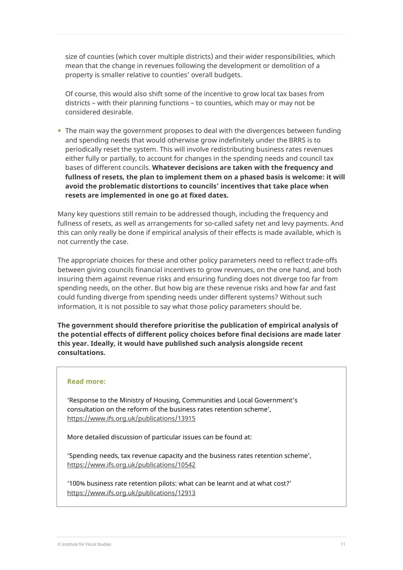size of counties (which cover multiple districts) and their wider responsibilities, which mean that the change in revenues following the development or demolition of a property is smaller relative to counties' overall budgets.

Of course, this would also shift some of the incentive to grow local tax bases from districts – with their planning functions – to counties, which may or may not be considered desirable.

• The main way the government proposes to deal with the divergences between funding and spending needs that would otherwise grow indefinitely under the BRRS is to periodically reset the system. This will involve redistributing business rates revenues either fully or partially, to account for changes in the spending needs and council tax bases of different councils. **Whatever decisions are taken with the frequency and fullness of resets, the plan to implement them on a phased basis is welcome: it will avoid the problematic distortions to councils' incentives that take place when resets are implemented in one go at fixed dates.** 

Many key questions still remain to be addressed though, including the frequency and fullness of resets, as well as arrangements for so-called safety net and levy payments. And this can only really be done if empirical analysis of their effects is made available, which is not currently the case.

The appropriate choices for these and other policy parameters need to reflect trade-offs between giving councils financial incentives to grow revenues, on the one hand, and both insuring them against revenue risks and ensuring funding does not diverge too far from spending needs, on the other. But how big are these revenue risks and how far and fast could funding diverge from spending needs under different systems? Without such information, it is not possible to say what those policy parameters should be.

**The government should therefore prioritise the publication of empirical analysis of the potential effects of different policy choices before final decisions are made later this year. Ideally, it would have published such analysis alongside recent consultations.**

#### **Read more:**

'Response to the Ministry of Housing, Communities and Local Government's consultation on the reform of the business rates retention scheme', <https://www.ifs.org.uk/publications/13915>

More detailed discussion of particular issues can be found at:

'Spending needs, tax revenue capacity and the business rates retention scheme', <https://www.ifs.org.uk/publications/10542>

'100% business rate retention pilots: what can be learnt and at what cost?' <https://www.ifs.org.uk/publications/12913>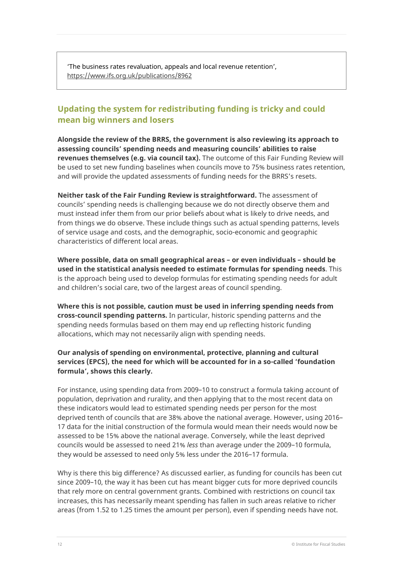'The business rates revaluation, appeals and local revenue retention', <https://www.ifs.org.uk/publications/8962>

# **Updating the system for redistributing funding is tricky and could mean big winners and losers**

**Alongside the review of the BRRS, the government is also reviewing its approach to assessing councils' spending needs and measuring councils' abilities to raise revenues themselves (e.g. via council tax).** The outcome of this Fair Funding Review will be used to set new funding baselines when councils move to 75% business rates retention, and will provide the updated assessments of funding needs for the BRRS's resets.

**Neither task of the Fair Funding Review is straightforward.** The assessment of councils' spending needs is challenging because we do not directly observe them and must instead infer them from our prior beliefs about what is likely to drive needs, and from things we do observe. These include things such as actual spending patterns, levels of service usage and costs, and the demographic, socio-economic and geographic characteristics of different local areas.

**Where possible, data on small geographical areas – or even individuals – should be used in the statistical analysis needed to estimate formulas for spending needs**. This is the approach being used to develop formulas for estimating spending needs for adult and children's social care, two of the largest areas of council spending.

**Where this is not possible, caution must be used in inferring spending needs from cross-council spending patterns.** In particular, historic spending patterns and the spending needs formulas based on them may end up reflecting historic funding allocations, which may not necessarily align with spending needs.

#### **Our analysis of spending on environmental, protective, planning and cultural services (EPCS), the need for which will be accounted for in a so-called 'foundation formula', shows this clearly.**

For instance, using spending data from 2009–10 to construct a formula taking account of population, deprivation and rurality, and then applying that to the most recent data on these indicators would lead to estimated spending needs per person for the most deprived tenth of councils that are 38% above the national average. However, using 2016– 17 data for the initial construction of the formula would mean their needs would now be assessed to be 15% above the national average. Conversely, while the least deprived councils would be assessed to need 21% *less* than average under the 2009–10 formula, they would be assessed to need only 5% less under the 2016–17 formula.

Why is there this big difference? As discussed earlier, as funding for councils has been cut since 2009–10, the way it has been cut has meant bigger cuts for more deprived councils that rely more on central government grants. Combined with restrictions on council tax increases, this has necessarily meant spending has fallen in such areas relative to richer areas (from 1.52 to 1.25 times the amount per person), even if spending needs have not.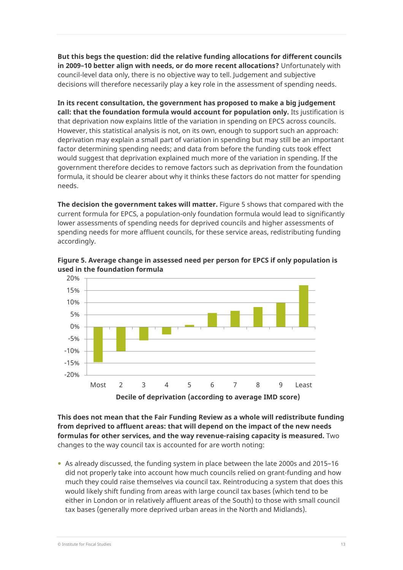**But this begs the question: did the relative funding allocations for different councils in 2009–10 better align with needs, or do more recent allocations?** Unfortunately with council-level data only, there is no objective way to tell. Judgement and subjective decisions will therefore necessarily play a key role in the assessment of spending needs.

**In its recent consultation, the government has proposed to make a big judgement call: that the foundation formula would account for population only.** Its justification is that deprivation now explains little of the variation in spending on EPCS across councils. However, this statistical analysis is not, on its own, enough to support such an approach: deprivation may explain a small part of variation in spending but may still be an important factor determining spending needs; and data from before the funding cuts took effect would suggest that deprivation explained much more of the variation in spending. If the government therefore decides to remove factors such as deprivation from the foundation formula, it should be clearer about why it thinks these factors do not matter for spending needs.

**The decision the government takes will matter.** Figure 5 shows that compared with the current formula for EPCS, a population-only foundation formula would lead to significantly lower assessments of spending needs for deprived councils and higher assessments of spending needs for more affluent councils, for these service areas, redistributing funding accordingly.



**Figure 5. Average change in assessed need per person for EPCS if only population is used in the foundation formula**

**This does not mean that the Fair Funding Review as a whole will redistribute funding from deprived to affluent areas: that will depend on the impact of the new needs formulas for other services, and the way revenue-raising capacity is measured.** Two changes to the way council tax is accounted for are worth noting:

 As already discussed, the funding system in place between the late 2000s and 2015–16 did not properly take into account how much councils relied on grant-funding and how much they could raise themselves via council tax. Reintroducing a system that does this would likely shift funding from areas with large council tax bases (which tend to be either in London or in relatively affluent areas of the South) to those with small council tax bases (generally more deprived urban areas in the North and Midlands).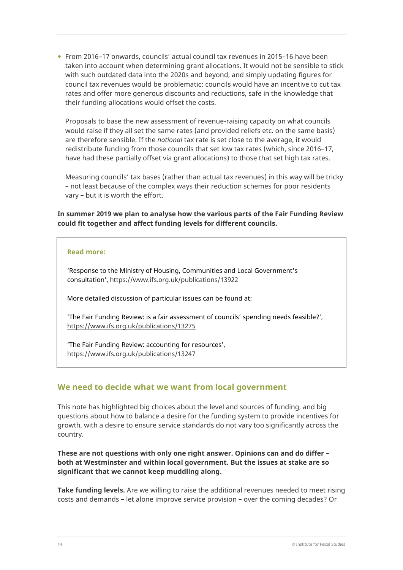From 2016–17 onwards, councils' actual council tax revenues in 2015–16 have been taken into account when determining grant allocations. It would not be sensible to stick with such outdated data into the 2020s and beyond, and simply updating figures for council tax revenues would be problematic: councils would have an incentive to cut tax rates and offer more generous discounts and reductions, safe in the knowledge that their funding allocations would offset the costs.

Proposals to base the new assessment of revenue-raising capacity on what councils would raise if they all set the same rates (and provided reliefs etc. on the same basis) are therefore sensible. If the *notional* tax rate is set close to the average, it would redistribute funding from those councils that set low tax rates (which, since 2016–17, have had these partially offset via grant allocations) to those that set high tax rates.

Measuring councils' tax bases (rather than actual tax revenues) in this way will be tricky – not least because of the complex ways their reduction schemes for poor residents vary – but it is worth the effort.

**In summer 2019 we plan to analyse how the various parts of the Fair Funding Review could fit together and affect funding levels for different councils.** 

#### **Read more:**

'Response to the Ministry of Housing, Communities and Local Government's consultation',<https://www.ifs.org.uk/publications/13922>

More detailed discussion of particular issues can be found at:

'The Fair Funding Review: is a fair assessment of councils' spending needs feasible?', <https://www.ifs.org.uk/publications/13275>

'The Fair Funding Review: accounting for resources', <https://www.ifs.org.uk/publications/13247>

## **We need to decide what we want from local government**

This note has highlighted big choices about the level and sources of funding, and big questions about how to balance a desire for the funding system to provide incentives for growth, with a desire to ensure service standards do not vary too significantly across the country.

**These are not questions with only one right answer. Opinions can and do differ – both at Westminster and within local government. But the issues at stake are so significant that we cannot keep muddling along.** 

**Take funding levels.** Are we willing to raise the additional revenues needed to meet rising costs and demands – let alone improve service provision – over the coming decades? Or